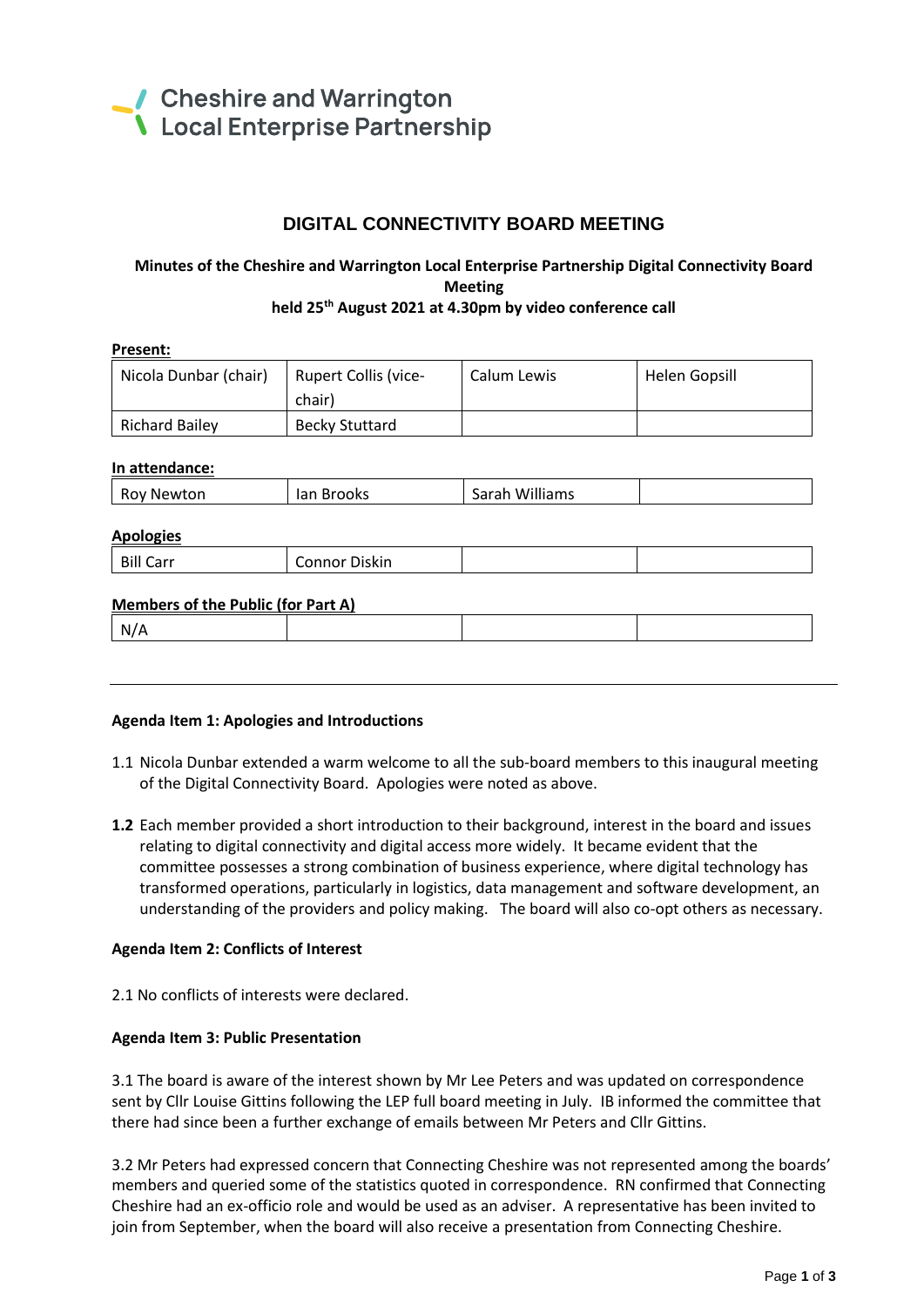

# **DIGITAL CONNECTIVITY BOARD MEETING**

### **Minutes of the Cheshire and Warrington Local Enterprise Partnership Digital Connectivity Board Meeting held 25th August 2021 at 4.30pm by video conference call**

| Present:                                  |                       | Calum Lewis    |                      |
|-------------------------------------------|-----------------------|----------------|----------------------|
| Nicola Dunbar (chair)                     | Rupert Collis (vice-  |                | <b>Helen Gopsill</b> |
|                                           | chair)                |                |                      |
| <b>Richard Bailey</b>                     | <b>Becky Stuttard</b> |                |                      |
|                                           |                       |                |                      |
| In attendance:                            |                       |                |                      |
| <b>Roy Newton</b>                         | lan Brooks            | Sarah Williams |                      |
|                                           |                       |                |                      |
| <b>Apologies</b>                          |                       |                |                      |
| <b>Bill Carr</b>                          | <b>Connor Diskin</b>  |                |                      |
|                                           |                       |                |                      |
| <b>Members of the Public (for Part A)</b> |                       |                |                      |
| N/A                                       |                       |                |                      |
|                                           |                       |                |                      |

### **Agenda Item 1: Apologies and Introductions**

- 1.1 Nicola Dunbar extended a warm welcome to all the sub-board members to this inaugural meeting of the Digital Connectivity Board. Apologies were noted as above.
- **1.2** Each member provided a short introduction to their background, interest in the board and issues relating to digital connectivity and digital access more widely. It became evident that the committee possesses a strong combination of business experience, where digital technology has transformed operations, particularly in logistics, data management and software development, an understanding of the providers and policy making. The board will also co-opt others as necessary.

### **Agenda Item 2: Conflicts of Interest**

2.1 No conflicts of interests were declared.

#### **Agenda Item 3: Public Presentation**

3.1 The board is aware of the interest shown by Mr Lee Peters and was updated on correspondence sent by Cllr Louise Gittins following the LEP full board meeting in July. IB informed the committee that there had since been a further exchange of emails between Mr Peters and Cllr Gittins.

3.2 Mr Peters had expressed concern that Connecting Cheshire was not represented among the boards' members and queried some of the statistics quoted in correspondence. RN confirmed that Connecting Cheshire had an ex-officio role and would be used as an adviser. A representative has been invited to join from September, when the board will also receive a presentation from Connecting Cheshire.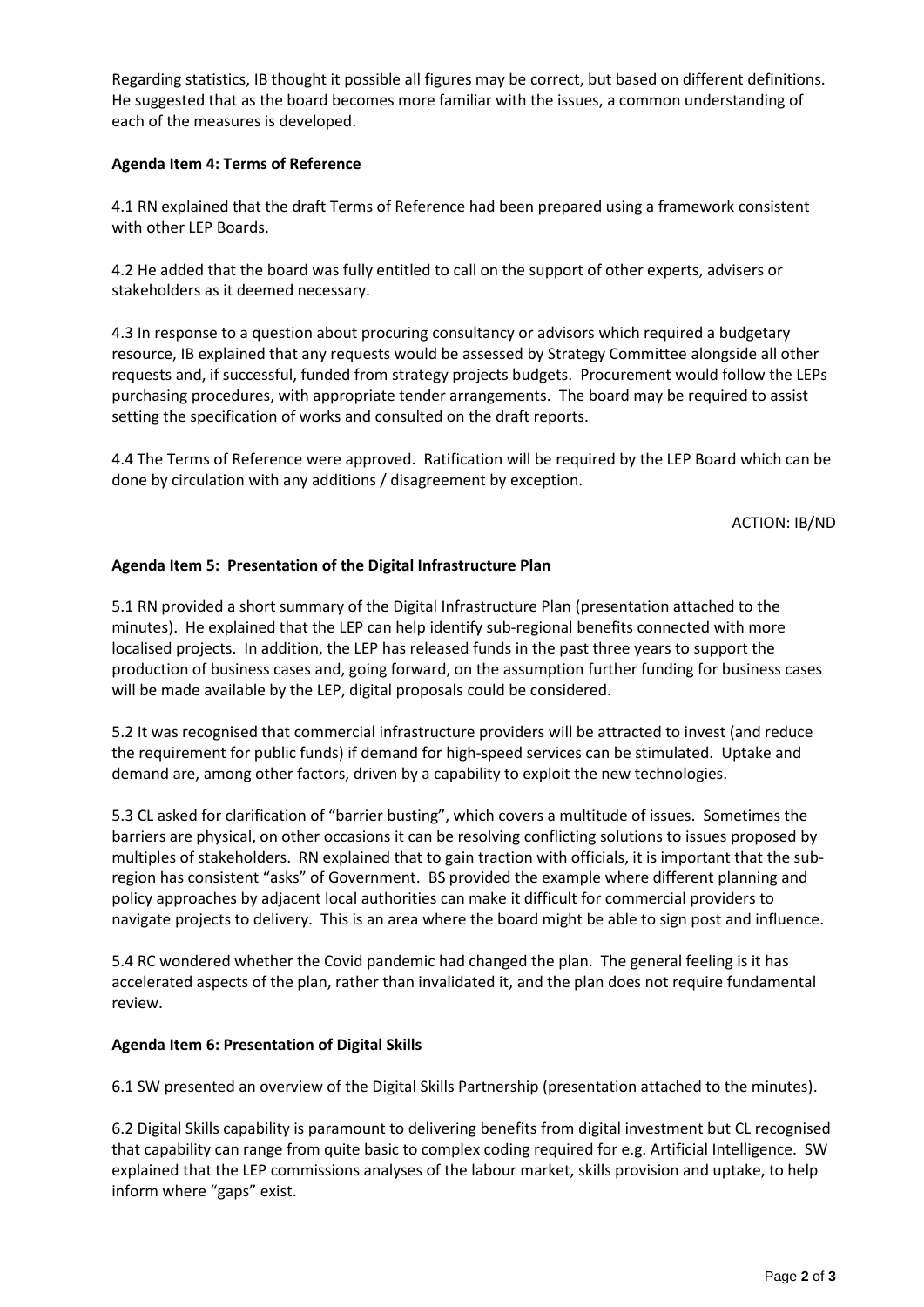Regarding statistics, IB thought it possible all figures may be correct, but based on different definitions. He suggested that as the board becomes more familiar with the issues, a common understanding of each of the measures is developed.

## **Agenda Item 4: Terms of Reference**

4.1 RN explained that the draft Terms of Reference had been prepared using a framework consistent with other LEP Boards.

4.2 He added that the board was fully entitled to call on the support of other experts, advisers or stakeholders as it deemed necessary.

4.3 In response to a question about procuring consultancy or advisors which required a budgetary resource, IB explained that any requests would be assessed by Strategy Committee alongside all other requests and, if successful, funded from strategy projects budgets. Procurement would follow the LEPs purchasing procedures, with appropriate tender arrangements. The board may be required to assist setting the specification of works and consulted on the draft reports.

4.4 The Terms of Reference were approved. Ratification will be required by the LEP Board which can be done by circulation with any additions / disagreement by exception.

ACTION: IB/ND

## **Agenda Item 5: Presentation of the Digital Infrastructure Plan**

5.1 RN provided a short summary of the Digital Infrastructure Plan (presentation attached to the minutes). He explained that the LEP can help identify sub-regional benefits connected with more localised projects. In addition, the LEP has released funds in the past three years to support the production of business cases and, going forward, on the assumption further funding for business cases will be made available by the LEP, digital proposals could be considered.

5.2 It was recognised that commercial infrastructure providers will be attracted to invest (and reduce the requirement for public funds) if demand for high-speed services can be stimulated. Uptake and demand are, among other factors, driven by a capability to exploit the new technologies.

5.3 CL asked for clarification of "barrier busting", which covers a multitude of issues. Sometimes the barriers are physical, on other occasions it can be resolving conflicting solutions to issues proposed by multiples of stakeholders. RN explained that to gain traction with officials, it is important that the subregion has consistent "asks" of Government. BS provided the example where different planning and policy approaches by adjacent local authorities can make it difficult for commercial providers to navigate projects to delivery. This is an area where the board might be able to sign post and influence.

5.4 RC wondered whether the Covid pandemic had changed the plan. The general feeling is it has accelerated aspects of the plan, rather than invalidated it, and the plan does not require fundamental review.

### **Agenda Item 6: Presentation of Digital Skills**

6.1 SW presented an overview of the Digital Skills Partnership (presentation attached to the minutes).

6.2 Digital Skills capability is paramount to delivering benefits from digital investment but CL recognised that capability can range from quite basic to complex coding required for e.g. Artificial Intelligence. SW explained that the LEP commissions analyses of the labour market, skills provision and uptake, to help inform where "gaps" exist.